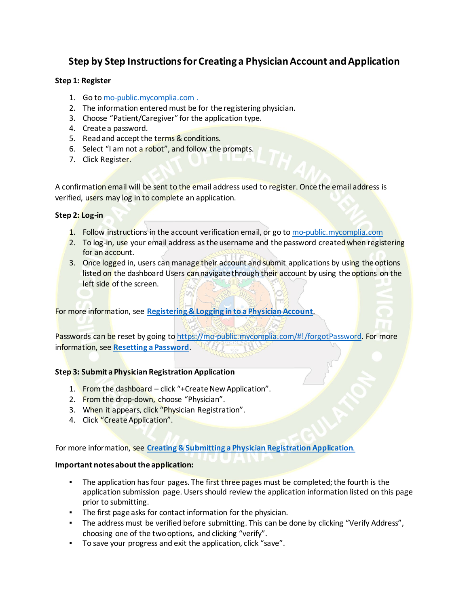# **Step by Step Instructions for Creating a Physician Account and Application**

## **Step 1: Register**

- 1. Go t[o mo-public.mycomplia.com .](https://mo-public.mycomplia.com/)
- 2. The information entered must be for the registering physician.
- 3. Choose "Patient/Caregiver" for the application type.
- 4. Create a password.
- 5. Read and accept the terms & conditions.
- 6. Select "I am not a robot", and follow the prompts.
- 7. Click Register.

A confirmation email will be sent to the email address used to register. Once the email address is verified, users may log in to complete an application.

## **Step 2: Log-in**

- 1. Follow instructions in the account verification email, or go to [mo-public.mycomplia.com](https://mo-public.mycomplia.com/)
- 2. To log-in, use your email address as the username and the password created when registering for an account.
- 3. Once logged in, users can manage their account and submit applications by using the options listed on the dashboard Users can navigate through their account by using the options on the left side of the screen.

For more information, see **[Registering & Logging in to a Physician Account](https://health.mo.gov/safety/medical-marijuana/tutorials/tutorial-17.php)**.

Passwords can be reset by going t[o https://mo-public.mycomplia.com/#!/forgotPassword.](https://mo-public.mycomplia.com/) For more information, see **[Resetting a Password](https://health.mo.gov/safety/medical-marijuana/tutorials/tutorial-3.php)**.

## **Step 3: Submit a Physician Registration Application**

- 1. From the dashboard click "+Create New Application".
- 2. From the drop-down, choose "Physician".
- 3. When it appears, click "Physician Registration".
- 4. Click "Create Application".

For more information, see **[Creating & Submitting a Physician Registration Application](https://health.mo.gov/safety/medical-marijuana/tutorials/tutorial-16.php)**.

## **Important notes about the application:**

- The application has four pages. The first three pages must be completed; the fourth is the application submission page. Users should review the application information listed on this page prior to submitting.
- The first page asks for contact information for the physician.
- The address must be verified before submitting. This can be done by clicking "Verify Address", choosing one of the two options, and clicking "verify".
- To save your progress and exit the application, click "save".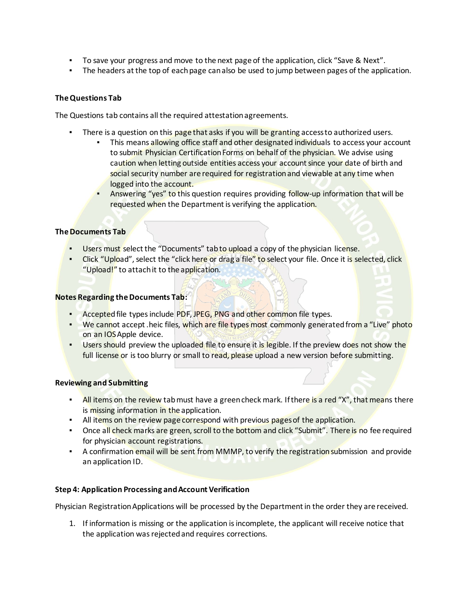- To save your progress and move to the next page of the application, click "Save & Next".
- The headers at the top of each page can also be used to jump between pages of the application.

## **The Questions Tab**

The Questions tab contains all the required attestation agreements.

- There is a question on this page that asks if you will be granting access to authorized users.
	- This means allowing office staff and other designated individuals to access your account to submit Physician Certification Forms on behalf of the physician. We advise using caution when letting outside entities access your account since your date of birth and social security number are required for registration and viewable at any time when logged into the account.
	- Answering "yes" to this question requires providing follow-up information that will be requested when the Department is verifying the application.

## **The Documents Tab**

- Users must select the "Documents" tab to upload a copy of the physician license.
- . Click "Upload", select the "click here or drag a file" to select your file. Once it is selected, click "Upload!" to attach it to the application.

## **Notes Regarding the Documents Tab:**

- **EXECTED FILE TYPES ACCEPTED PDF, JPEG, PNG and other common file types.**
- **•** We cannot accept .heic files, which are file types most commonly generated from a "Live" photo on an IOS Apple device.
- **Users should preview the uploaded file to ensure it is legible. If the preview does not show the** full license or is too blurry or small to read, please upload a new version before submitting.

## **Reviewing and Submitting**

- **EXECT** All items on the review tab must have a green check mark. If there is a red "X", that means there is missing information in the application.
- **EXECT** All items on the review page correspond with previous pages of the application.
- Once all check marks are green, scroll to the bottom and click "Submit". There is no fee required for physician account registrations.
- **•** A confirmation email will be sent from MMMP, to verify the registration submission and provide an application ID.

## **Step 4: Application Processing and Account Verification**

Physician Registration Applications will be processed by the Department in the order they are received.

1. If information is missing or the application is incomplete, the applicant will receive notice that the application was rejected and requires corrections.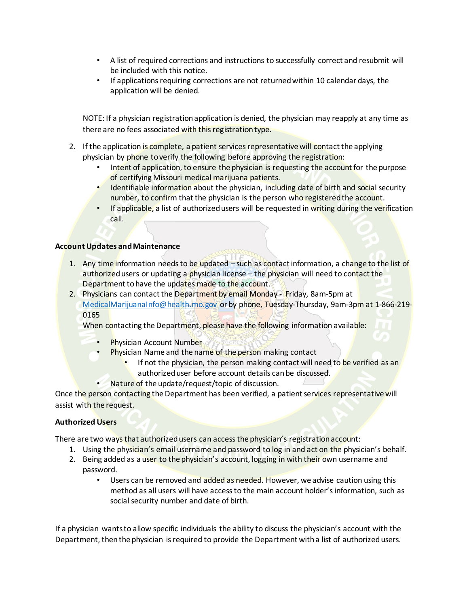- A list of required corrections and instructions to successfully correct and resubmit will be included with this notice.
- If applications requiring corrections are not returned within 10 calendar days, the application will be denied.

NOTE: If a physician registration application is denied, the physician may reapply at any time as there are no fees associated with this registration type.

- 2. If the application is complete, a patient services representative will contact the applying physician by phone to verify the following before approving the registration:
	- Intent of application, to ensure the physician is requesting the account for the purpose of certifying Missouri medical marijuana patients.
	- Identifiable information about the physician, including date of birth and social security number, to confirm that the physician is the person who registered the account.
	- If applicable, a list of authorized users will be requested in writing during the verification call.

## **Account Updates and Maintenance**

- 1. Any time information needs to be updated such as contact information, a change to the list of authorized users or updating a physician license – the physician will need to contact the Department to have the updates made to the account.
- 2. Physicians can contact the Department by email Monday Friday, 8am-5pm at [MedicalMarijuanaInfo@health.mo.gov](mailto:MedicalMarijuanaInfo@health.mo.gov) or by phone, Tuesday-Thursday, 9am-3pm at 1-866-219- 0165

When contacting the Department, please have the following information available:

- **Physician Account Number**
- Physician Name and the name of the person making contact
	- If not the physician, the person making contact will need to be verified as an authorized user before account details can be discussed.
- Nature of the update/request/topic of discussion.

Once the person contacting the Department has been verified, a patient services representative will assist with the request.

## **Authorized Users**

There are two ways that authorized users can access the physician's registration account:

- 1. Using the physician's email username and password to log in and act on the physician's behalf.
- 2. Being added as a user to the physician's account, logging in with their own username and password.
	- Users can be removed and added as needed. However, we advise caution using this method as all users will have access to the main account holder's information, such as social security number and date of birth.

If a physician wants to allow specific individuals the ability to discuss the physician's account with the Department, then the physician is required to provide the Department with a list of authorized users.